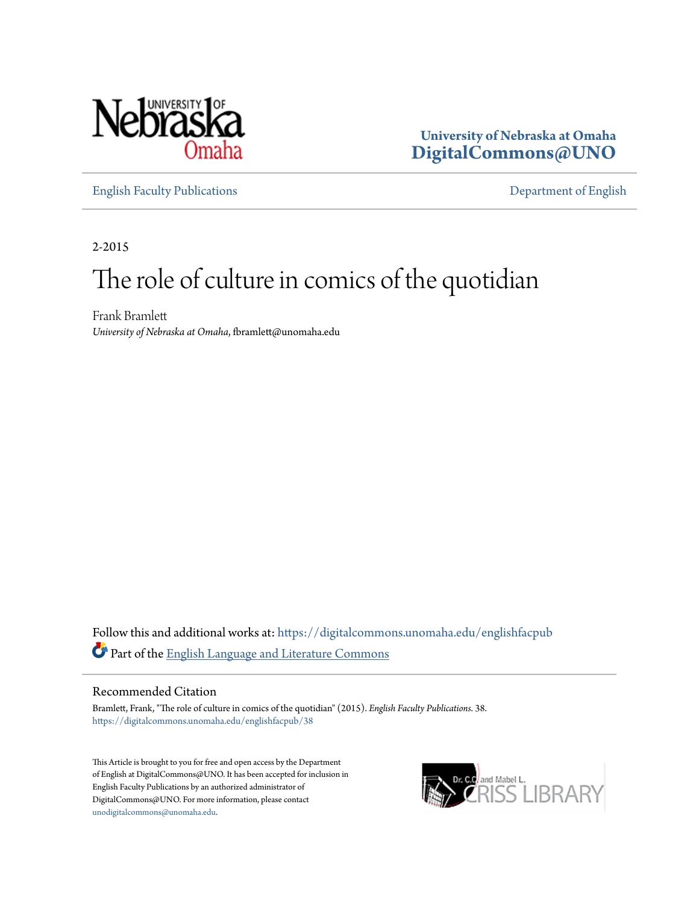

**University of Nebraska at Omaha [DigitalCommons@UNO](https://digitalcommons.unomaha.edu?utm_source=digitalcommons.unomaha.edu%2Fenglishfacpub%2F38&utm_medium=PDF&utm_campaign=PDFCoverPages)**

[English Faculty Publications](https://digitalcommons.unomaha.edu/englishfacpub?utm_source=digitalcommons.unomaha.edu%2Fenglishfacpub%2F38&utm_medium=PDF&utm_campaign=PDFCoverPages) [Department of English](https://digitalcommons.unomaha.edu/english?utm_source=digitalcommons.unomaha.edu%2Fenglishfacpub%2F38&utm_medium=PDF&utm_campaign=PDFCoverPages)

2-2015

# The role of culture in comics of the quotidian

Frank Bramlett *University of Nebraska at Omaha*, fbramlett@unomaha.edu

Follow this and additional works at: [https://digitalcommons.unomaha.edu/englishfacpub](https://digitalcommons.unomaha.edu/englishfacpub?utm_source=digitalcommons.unomaha.edu%2Fenglishfacpub%2F38&utm_medium=PDF&utm_campaign=PDFCoverPages) Part of the [English Language and Literature Commons](http://network.bepress.com/hgg/discipline/455?utm_source=digitalcommons.unomaha.edu%2Fenglishfacpub%2F38&utm_medium=PDF&utm_campaign=PDFCoverPages)

#### Recommended Citation

Bramlett, Frank, "The role of culture in comics of the quotidian" (2015). *English Faculty Publications*. 38. [https://digitalcommons.unomaha.edu/englishfacpub/38](https://digitalcommons.unomaha.edu/englishfacpub/38?utm_source=digitalcommons.unomaha.edu%2Fenglishfacpub%2F38&utm_medium=PDF&utm_campaign=PDFCoverPages)

This Article is brought to you for free and open access by the Department of English at DigitalCommons@UNO. It has been accepted for inclusion in English Faculty Publications by an authorized administrator of DigitalCommons@UNO. For more information, please contact [unodigitalcommons@unomaha.edu](mailto:unodigitalcommons@unomaha.edu).

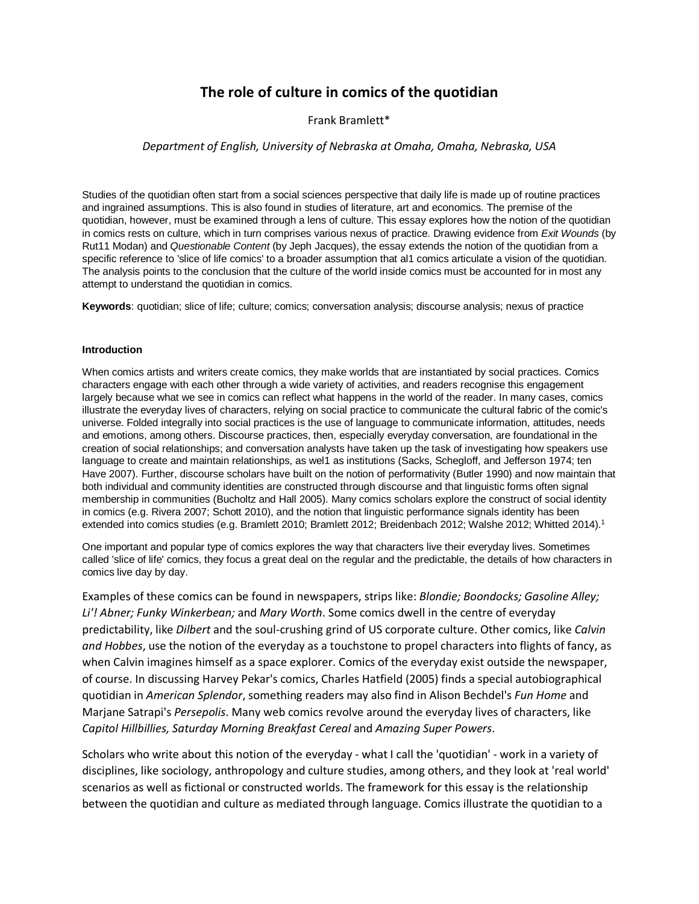# **The role of culture in comics of the quotidian**

Frank Bramlett\*

#### *Department of English, University of Nebraska at Omaha, Omaha, Nebraska, USA*

Studies of the quotidian often start from a social sciences perspective that daily life is made up of routine practices and ingrained assumptions. This is also found in studies of literature, art and economics. The premise of the quotidian, however, must be examined through a lens of culture. This essay explores how the notion of the quotidian in comics rests on culture, which in turn comprises various nexus of practice. Drawing evidence from *Exit Wounds* (by Rut11 Modan) and *Questionable Content* (by Jeph Jacques), the essay extends the notion of the quotidian from a specific reference to 'slice of life comics' to a broader assumption that al1 comics articulate a vision of the quotidian. The analysis points to the conclusion that the culture of the world inside comics must be accounted for in most any attempt to understand the quotidian in comics.

**Keywords**: quotidian; slice of life; culture; comics; conversation analysis; discourse analysis; nexus of practice

#### **Introduction**

When comics artists and writers create comics, they make worlds that are instantiated by social practices. Comics characters engage with each other through a wide variety of activities, and readers recognise this engagement largely because what we see in comics can reflect what happens in the world of the reader. In many cases, comics illustrate the everyday lives of characters, relying on social practice to communicate the cultural fabric of the comic's universe. Folded integrally into social practices is the use of language to communicate information, attitudes, needs and emotions, among others. Discourse practices, then, especially everyday conversation, are foundational in the creation of social relationships; and conversation analysts have taken up the task of investigating how speakers use language to create and maintain relationships, as wel1 as institutions (Sacks, Schegloff, and Jefferson 1974; ten Have 2007). Further, discourse scholars have built on the notion of performativity (Butler 1990) and now maintain that both individual and community identities are constructed through discourse and that linguistic forms often signal membership in communities (Bucholtz and Hall 2005). Many comics scholars explore the construct of social identity in comics (e.g. Rivera 2007; Schott 2010), and the notion that linguistic performance signals identity has been extended into comics studies (e.g. Bramlett 2010; Bramlett 2012; Breidenbach 2012; Walshe 2012; Whitted 2014).<sup>1</sup>

One important and popular type of comics explores the way that characters live their everyday lives. Sometimes called 'slice of life' comics, they focus a great deal on the regular and the predictable, the details of how characters in comics live day by day.

Examples of these comics can be found in newspapers, strips like: *Blondie; Boondocks; Gasoline Alley; Li'! Abner; Funky Winkerbean;* and *Mary Worth*. Some comics dwell in the centre of everyday predictability, like *Dilbert* and the soul-crushing grind of US corporate culture. Other comics, like *Calvin and Hobbes*, use the notion of the everyday as a touchstone to propel characters into flights of fancy, as when Calvin imagines himself as a space explorer. Comics of the everyday exist outside the newspaper, of course. In discussing Harvey Pekar's comics, Charles Hatfield (2005) finds a special autobiographical quotidian in *American Splendor*, something readers may also find in Alison Bechdel's *Fun Home* and Marjane Satrapi's *Persepolis*. Many web comics revolve around the everyday lives of characters, like *Capitol Hillbillies, Saturday Morning Breakfast Cereal* and *Amazing Super Powers*.

Scholars who write about this notion of the everyday - what I call the 'quotidian' - work in a variety of disciplines, like sociology, anthropology and culture studies, among others, and they look at 'real world' scenarios as well as fictional or constructed worlds. The framework for this essay is the relationship between the quotidian and culture as mediated through language. Comics illustrate the quotidian to a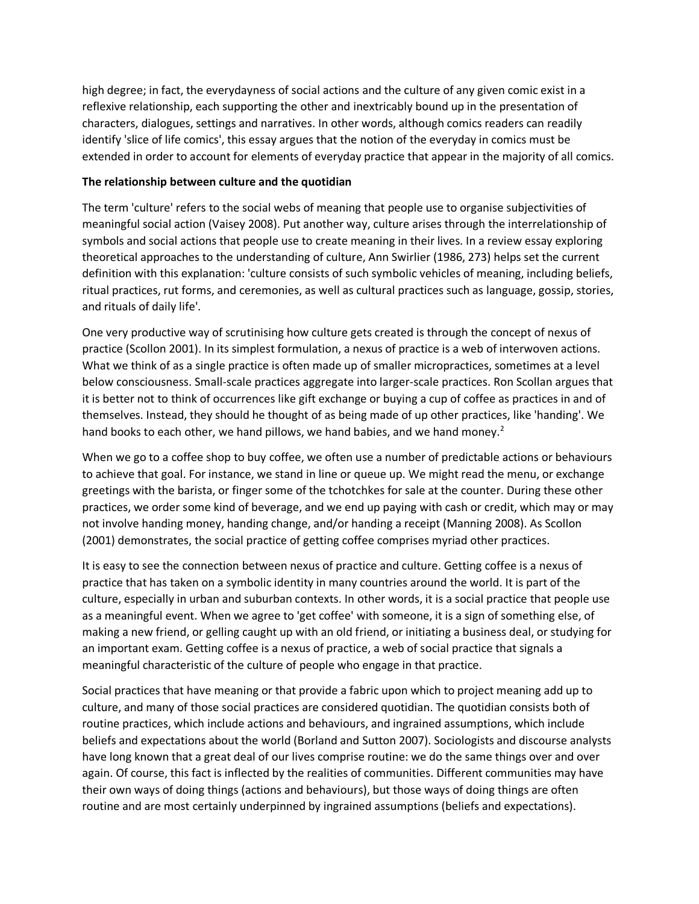high degree; in fact, the everydayness of social actions and the culture of any given comic exist in a reflexive relationship, each supporting the other and inextricably bound up in the presentation of characters, dialogues, settings and narratives. In other words, although comics readers can readily identify 'slice of life comics', this essay argues that the notion of the everyday in comics must be extended in order to account for elements of everyday practice that appear in the majority of all comics.

## **The relationship between culture and the quotidian**

The term 'culture' refers to the social webs of meaning that people use to organise subjectivities of meaningful social action (Vaisey 2008). Put another way, culture arises through the interrelationship of symbols and social actions that people use to create meaning in their lives. In a review essay exploring theoretical approaches to the understanding of culture, Ann Swirlier (1986, 273) helps set the current definition with this explanation: 'culture consists of such symbolic vehicles of meaning, including beliefs, ritual practices, rut forms, and ceremonies, as well as cultural practices such as language, gossip, stories, and rituals of daily life'.

One very productive way of scrutinising how culture gets created is through the concept of nexus of practice (Scollon 2001). In its simplest formulation, a nexus of practice is a web of interwoven actions. What we think of as a single practice is often made up of smaller micropractices, sometimes at a level below consciousness. Small-scale practices aggregate into larger-scale practices. Ron Scollan argues that it is better not to think of occurrences like gift exchange or buying a cup of coffee as practices in and of themselves. Instead, they should he thought of as being made of up other practices, like 'handing'. We hand books to each other, we hand pillows, we hand babies, and we hand money.<sup>2</sup>

When we go to a coffee shop to buy coffee, we often use a number of predictable actions or behaviours to achieve that goal. For instance, we stand in line or queue up. We might read the menu, or exchange greetings with the barista, or finger some of the tchotchkes for sale at the counter. During these other practices, we order some kind of beverage, and we end up paying with cash or credit, which may or may not involve handing money, handing change, and/or handing a receipt (Manning 2008). As Scollon (2001) demonstrates, the social practice of getting coffee comprises myriad other practices.

It is easy to see the connection between nexus of practice and culture. Getting coffee is a nexus of practice that has taken on a symbolic identity in many countries around the world. It is part of the culture, especially in urban and suburban contexts. In other words, it is a social practice that people use as a meaningful event. When we agree to 'get coffee' with someone, it is a sign of something else, of making a new friend, or gelling caught up with an old friend, or initiating a business deal, or studying for an important exam. Getting coffee is a nexus of practice, a web of social practice that signals a meaningful characteristic of the culture of people who engage in that practice.

Social practices that have meaning or that provide a fabric upon which to project meaning add up to culture, and many of those social practices are considered quotidian. The quotidian consists both of routine practices, which include actions and behaviours, and ingrained assumptions, which include beliefs and expectations about the world (Borland and Sutton 2007). Sociologists and discourse analysts have long known that a great deal of our lives comprise routine: we do the same things over and over again. Of course, this fact is inflected by the realities of communities. Different communities may have their own ways of doing things (actions and behaviours), but those ways of doing things are often routine and are most certainly underpinned by ingrained assumptions (beliefs and expectations).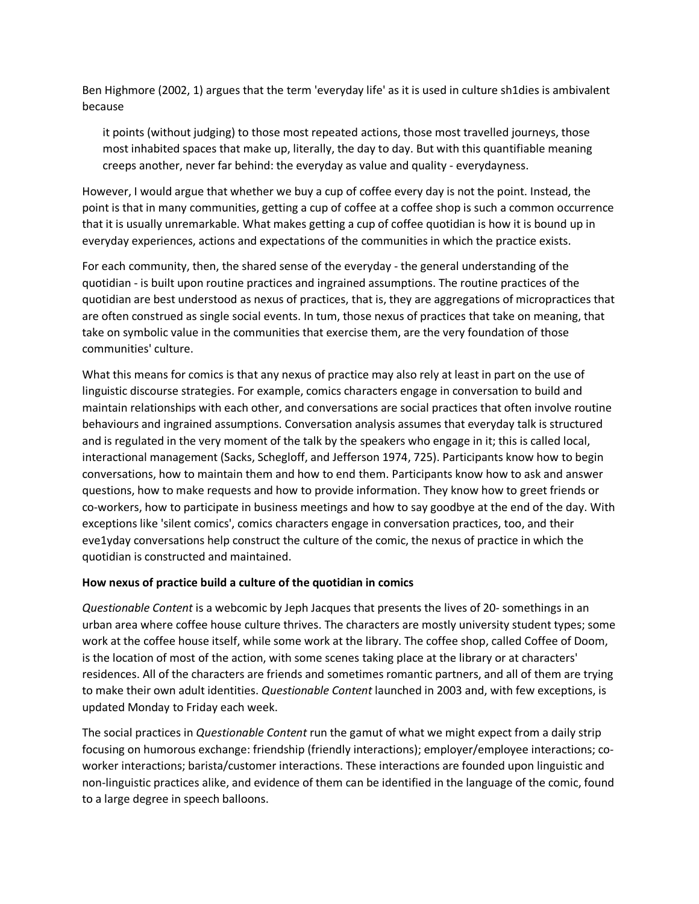Ben Highmore (2002, 1) argues that the term 'everyday life' as it is used in culture sh1dies is ambivalent because

it points (without judging) to those most repeated actions, those most travelled journeys, those most inhabited spaces that make up, literally, the day to day. But with this quantifiable meaning creeps another, never far behind: the everyday as value and quality - everydayness.

However, I would argue that whether we buy a cup of coffee every day is not the point. Instead, the point is that in many communities, getting a cup of coffee at a coffee shop is such a common occurrence that it is usually unremarkable. What makes getting a cup of coffee quotidian is how it is bound up in everyday experiences, actions and expectations of the communities in which the practice exists.

For each community, then, the shared sense of the everyday - the general understanding of the quotidian - is built upon routine practices and ingrained assumptions. The routine practices of the quotidian are best understood as nexus of practices, that is, they are aggregations of micropractices that are often construed as single social events. In tum, those nexus of practices that take on meaning, that take on symbolic value in the communities that exercise them, are the very foundation of those communities' culture.

What this means for comics is that any nexus of practice may also rely at least in part on the use of linguistic discourse strategies. For example, comics characters engage in conversation to build and maintain relationships with each other, and conversations are social practices that often involve routine behaviours and ingrained assumptions. Conversation analysis assumes that everyday talk is structured and is regulated in the very moment of the talk by the speakers who engage in it; this is called local, interactional management (Sacks, Schegloff, and Jefferson 1974, 725). Participants know how to begin conversations, how to maintain them and how to end them. Participants know how to ask and answer questions, how to make requests and how to provide information. They know how to greet friends or co-workers, how to participate in business meetings and how to say goodbye at the end of the day. With exceptions like 'silent comics', comics characters engage in conversation practices, too, and their eve1yday conversations help construct the culture of the comic, the nexus of practice in which the quotidian is constructed and maintained.

### **How nexus of practice build a culture of the quotidian in comics**

*Questionable Content* is a webcomic by Jeph Jacques that presents the lives of 20- somethings in an urban area where coffee house culture thrives. The characters are mostly university student types; some work at the coffee house itself, while some work at the library. The coffee shop, called Coffee of Doom, is the location of most of the action, with some scenes taking place at the library or at characters' residences. All of the characters are friends and sometimes romantic partners, and all of them are trying to make their own adult identities. *Questionable Content* launched in 2003 and, with few exceptions, is updated Monday to Friday each week.

The social practices in *Questionable Content* run the gamut of what we might expect from a daily strip focusing on humorous exchange: friendship (friendly interactions); employer/employee interactions; coworker interactions; barista/customer interactions. These interactions are founded upon linguistic and non-linguistic practices alike, and evidence of them can be identified in the language of the comic, found to a large degree in speech balloons.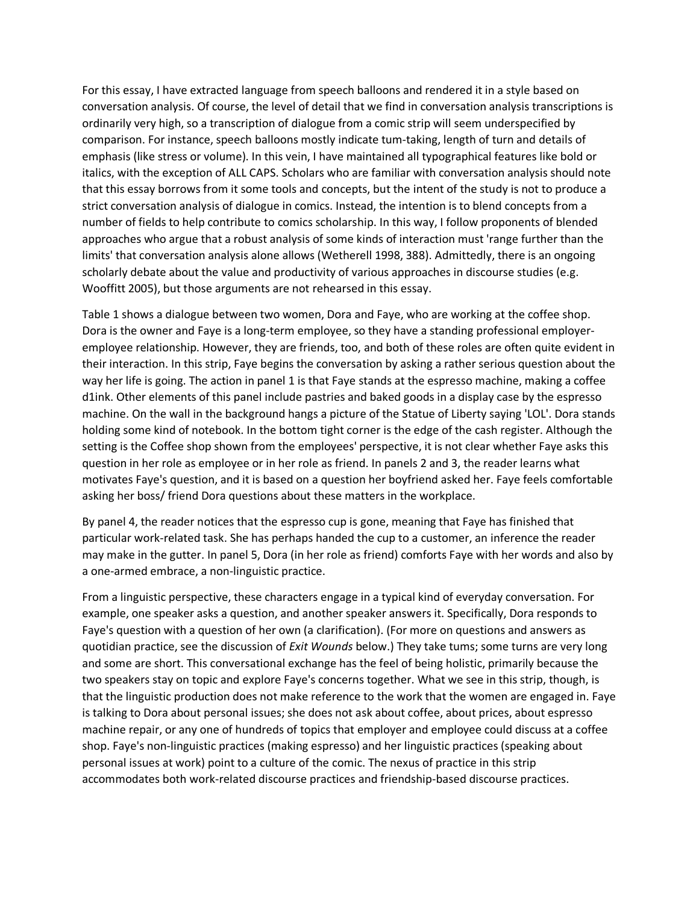For this essay, I have extracted language from speech balloons and rendered it in a style based on conversation analysis. Of course, the level of detail that we find in conversation analysis transcriptions is ordinarily very high, so a transcription of dialogue from a comic strip will seem underspecified by comparison. For instance, speech balloons mostly indicate tum-taking, length of turn and details of emphasis (like stress or volume). In this vein, I have maintained all typographical features like bold or italics, with the exception of ALL CAPS. Scholars who are familiar with conversation analysis should note that this essay borrows from it some tools and concepts, but the intent of the study is not to produce a strict conversation analysis of dialogue in comics. Instead, the intention is to blend concepts from a number of fields to help contribute to comics scholarship. In this way, I follow proponents of blended approaches who argue that a robust analysis of some kinds of interaction must 'range further than the limits' that conversation analysis alone allows (Wetherell 1998, 388). Admittedly, there is an ongoing scholarly debate about the value and productivity of various approaches in discourse studies (e.g. Wooffitt 2005), but those arguments are not rehearsed in this essay.

Table 1 shows a dialogue between two women, Dora and Faye, who are working at the coffee shop. Dora is the owner and Faye is a long-term employee, so they have a standing professional employeremployee relationship. However, they are friends, too, and both of these roles are often quite evident in their interaction. In this strip, Faye begins the conversation by asking a rather serious question about the way her life is going. The action in panel 1 is that Faye stands at the espresso machine, making a coffee d1ink. Other elements of this panel include pastries and baked goods in a display case by the espresso machine. On the wall in the background hangs a picture of the Statue of Liberty saying 'LOL'. Dora stands holding some kind of notebook. In the bottom tight corner is the edge of the cash register. Although the setting is the Coffee shop shown from the employees' perspective, it is not clear whether Faye asks this question in her role as employee or in her role as friend. In panels 2 and 3, the reader learns what motivates Faye's question, and it is based on a question her boyfriend asked her. Faye feels comfortable asking her boss/ friend Dora questions about these matters in the workplace.

By panel 4, the reader notices that the espresso cup is gone, meaning that Faye has finished that particular work-related task. She has perhaps handed the cup to a customer, an inference the reader may make in the gutter. In panel 5, Dora (in her role as friend) comforts Faye with her words and also by a one-armed embrace, a non-linguistic practice.

From a linguistic perspective, these characters engage in a typical kind of everyday conversation. For example, one speaker asks a question, and another speaker answers it. Specifically, Dora responds to Faye's question with a question of her own (a clarification). (For more on questions and answers as quotidian practice, see the discussion of *Exit Wounds* below.) They take tums; some turns are very long and some are short. This conversational exchange has the feel of being holistic, primarily because the two speakers stay on topic and explore Faye's concerns together. What we see in this strip, though, is that the linguistic production does not make reference to the work that the women are engaged in. Faye is talking to Dora about personal issues; she does not ask about coffee, about prices, about espresso machine repair, or any one of hundreds of topics that employer and employee could discuss at a coffee shop. Faye's non-linguistic practices (making espresso) and her linguistic practices (speaking about personal issues at work) point to a culture of the comic. The nexus of practice in this strip accommodates both work-related discourse practices and friendship-based discourse practices.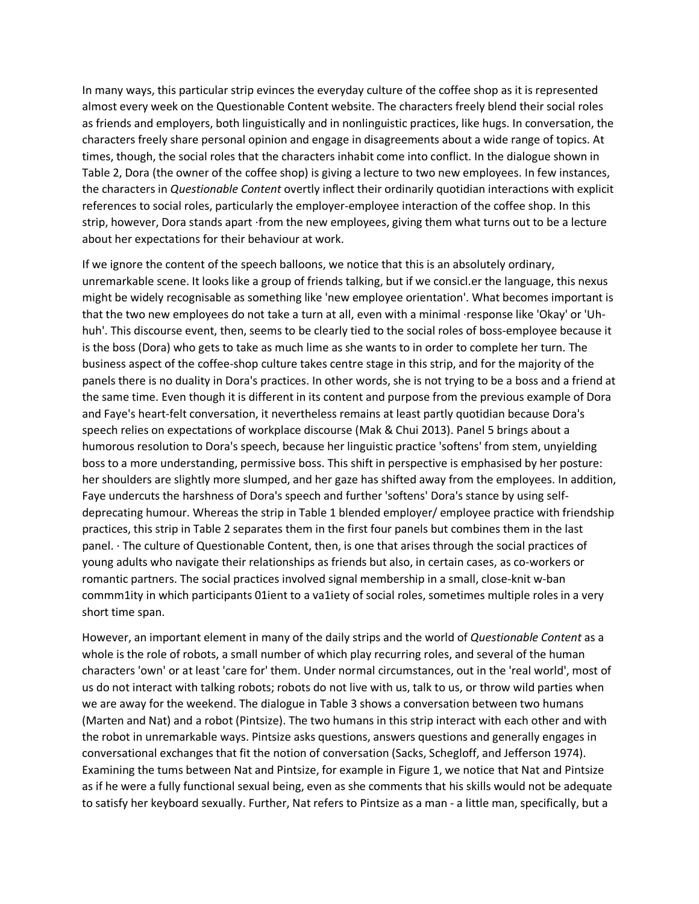In many ways, this particular strip evinces the everyday culture of the coffee shop as it is represented almost every week on the Questionable Content website. The characters freely blend their social roles as friends and employers, both linguistically and in nonlinguistic practices, like hugs. In conversation, the characters freely share personal opinion and engage in disagreements about a wide range of topics. At times, though, the social roles that the characters inhabit come into conflict. In the dialogue shown in Table 2, Dora (the owner of the coffee shop) is giving a lecture to two new employees. In few instances, the characters in *Questionable Content* overtly inflect their ordinarily quotidian interactions with explicit references to social roles, particularly the employer-employee interaction of the coffee shop. In this strip, however, Dora stands apart ·from the new employees, giving them what turns out to be a lecture about her expectations for their behaviour at work.

If we ignore the content of the speech balloons, we notice that this is an absolutely ordinary, unremarkable scene. It looks like a group of friends talking, but if we consicl.er the language, this nexus might be widely recognisable as something like 'new employee orientation'. What becomes important is that the two new employees do not take a turn at all, even with a minimal ·response like 'Okay' or 'Uhhuh'. This discourse event, then, seems to be clearly tied to the social roles of boss-employee because it is the boss (Dora) who gets to take as much lime as she wants to in order to complete her turn. The business aspect of the coffee-shop culture takes centre stage in this strip, and for the majority of the panels there is no duality in Dora's practices. In other words, she is not trying to be a boss and a friend at the same time. Even though it is different in its content and purpose from the previous example of Dora and Faye's heart-felt conversation, it nevertheless remains at least partly quotidian because Dora's speech relies on expectations of workplace discourse (Mak & Chui 2013). Panel 5 brings about a humorous resolution to Dora's speech, because her linguistic practice 'softens' from stem, unyielding boss to a more understanding, permissive boss. This shift in perspective is emphasised by her posture: her shoulders are slightly more slumped, and her gaze has shifted away from the employees. In addition, Faye undercuts the harshness of Dora's speech and further 'softens' Dora's stance by using selfdeprecating humour. Whereas the strip in Table 1 blended employer/ employee practice with friendship practices, this strip in Table 2 separates them in the first four panels but combines them in the last panel. · The culture of Questionable Content, then, is one that arises through the social practices of young adults who navigate their relationships as friends but also, in certain cases, as co-workers or romantic partners. The social practices involved signal membership in a small, close-knit w-ban commm1ity in which participants 01ient to a va1iety of social roles, sometimes multiple roles in a very short time span.

However, an important element in many of the daily strips and the world of *Questionable Content* as a whole is the role of robots, a small number of which play recurring roles, and several of the human characters 'own' or at least 'care for' them. Under normal circumstances, out in the 'real world', most of us do not interact with talking robots; robots do not live with us, talk to us, or throw wild parties when we are away for the weekend. The dialogue in Table 3 shows a conversation between two humans (Marten and Nat) and a robot (Pintsize). The two humans in this strip interact with each other and with the robot in unremarkable ways. Pintsize asks questions, answers questions and generally engages in conversational exchanges that fit the notion of conversation (Sacks, Schegloff, and Jefferson 1974). Examining the tums between Nat and Pintsize, for example in Figure 1, we notice that Nat and Pintsize as if he were a fully functional sexual being, even as she comments that his skills would not be adequate to satisfy her keyboard sexually. Further, Nat refers to Pintsize as a man - a little man, specifically, but a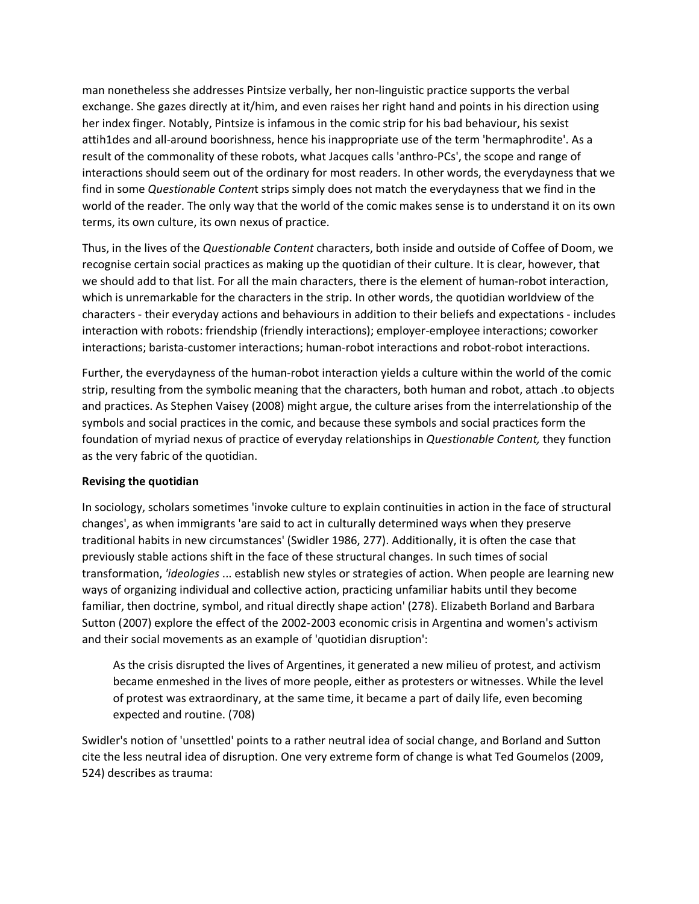man nonetheless she addresses Pintsize verbally, her non-linguistic practice supports the verbal exchange. She gazes directly at it/him, and even raises her right hand and points in his direction using her index finger. Notably, Pintsize is infamous in the comic strip for his bad behaviour, his sexist attih1des and all-around boorishness, hence his inappropriate use of the term 'hermaphrodite'. As a result of the commonality of these robots, what Jacques calls 'anthro-PCs', the scope and range of interactions should seem out of the ordinary for most readers. In other words, the everydayness that we find in some *Questionable Conten*t strips simply does not match the everydayness that we find in the world of the reader. The only way that the world of the comic makes sense is to understand it on its own terms, its own culture, its own nexus of practice.

Thus, in the lives of the *Questionable Content* characters, both inside and outside of Coffee of Doom, we recognise certain social practices as making up the quotidian of their culture. It is clear, however, that we should add to that list. For all the main characters, there is the element of human-robot interaction, which is unremarkable for the characters in the strip. In other words, the quotidian worldview of the characters - their everyday actions and behaviours in addition to their beliefs and expectations - includes interaction with robots: friendship (friendly interactions); employer-employee interactions; coworker interactions; barista-customer interactions; human-robot interactions and robot-robot interactions.

Further, the everydayness of the human-robot interaction yields a culture within the world of the comic strip, resulting from the symbolic meaning that the characters, both human and robot, attach .to objects and practices. As Stephen Vaisey (2008) might argue, the culture arises from the interrelationship of the symbols and social practices in the comic, and because these symbols and social practices form the foundation of myriad nexus of practice of everyday relationships in *Questionable Content,* they function as the very fabric of the quotidian.

# **Revising the quotidian**

In sociology, scholars sometimes 'invoke culture to explain continuities in action in the face of structural changes', as when immigrants 'are said to act in culturally determined ways when they preserve traditional habits in new circumstances' (Swidler 1986, 277). Additionally, it is often the case that previously stable actions shift in the face of these structural changes. In such times of social transformation, *'ideologies* ... establish new styles or strategies of action. When people are learning new ways of organizing individual and collective action, practicing unfamiliar habits until they become familiar, then doctrine, symbol, and ritual directly shape action' (278). Elizabeth Borland and Barbara Sutton (2007) explore the effect of the 2002-2003 economic crisis in Argentina and women's activism and their social movements as an example of 'quotidian disruption':

As the crisis disrupted the lives of Argentines, it generated a new milieu of protest, and activism became enmeshed in the lives of more people, either as protesters or witnesses. While the level of protest was extraordinary, at the same time, it became a part of daily life, even becoming expected and routine. (708)

Swidler's notion of 'unsettled' points to a rather neutral idea of social change, and Borland and Sutton cite the less neutral idea of disruption. One very extreme form of change is what Ted Goumelos (2009, 524) describes as trauma: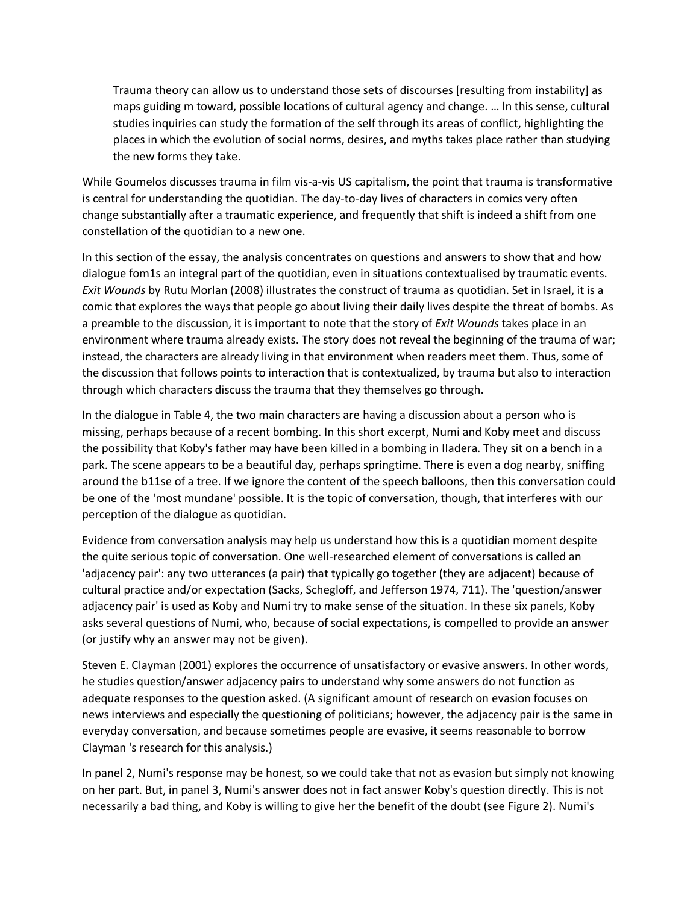Trauma theory can allow us to understand those sets of discourses [resulting from instability] as maps guiding m toward, possible locations of cultural agency and change. … ln this sense, cultural studies inquiries can study the formation of the self through its areas of conflict, highlighting the places in which the evolution of social norms, desires, and myths takes place rather than studying the new forms they take.

While Goumelos discusses trauma in film vis-a-vis US capitalism, the point that trauma is transformative is central for understanding the quotidian. The day-to-day lives of characters in comics very often change substantially after a traumatic experience, and frequently that shift is indeed a shift from one constellation of the quotidian to a new one.

In this section of the essay, the analysis concentrates on questions and answers to show that and how dialogue fom1s an integral part of the quotidian, even in situations contextualised by traumatic events. *Exit Wounds* by Rutu Morlan (2008) illustrates the construct of trauma as quotidian. Set in Israel, it is a comic that explores the ways that people go about living their daily lives despite the threat of bombs. As a preamble to the discussion, it is important to note that the story of *Exit Wounds* takes place in an environment where trauma already exists. The story does not reveal the beginning of the trauma of war; instead, the characters are already living in that environment when readers meet them. Thus, some of the discussion that follows points to interaction that is contextualized, by trauma but also to interaction through which characters discuss the trauma that they themselves go through.

In the dialogue in Table 4, the two main characters are having a discussion about a person who is missing, perhaps because of a recent bombing. In this short excerpt, Numi and Koby meet and discuss the possibility that Koby's father may have been killed in a bombing in IIadera. They sit on a bench in a park. The scene appears to be a beautiful day, perhaps springtime. There is even a dog nearby, sniffing around the b11se of a tree. If we ignore the content of the speech balloons, then this conversation could be one of the 'most mundane' possible. It is the topic of conversation, though, that interferes with our perception of the dialogue as quotidian.

Evidence from conversation analysis may help us understand how this is a quotidian moment despite the quite serious topic of conversation. One well-researched element of conversations is called an 'adjacency pair': any two utterances (a pair) that typically go together (they are adjacent) because of cultural practice and/or expectation (Sacks, Schegloff, and Jefferson 1974, 711). The 'question/answer adjacency pair' is used as Koby and Numi try to make sense of the situation. In these six panels, Koby asks several questions of Numi, who, because of social expectations, is compelled to provide an answer (or justify why an answer may not be given).

Steven E. Clayman (2001) explores the occurrence of unsatisfactory or evasive answers. In other words, he studies question/answer adjacency pairs to understand why some answers do not function as adequate responses to the question asked. (A significant amount of research on evasion focuses on news interviews and especially the questioning of politicians; however, the adjacency pair is the same in everyday conversation, and because sometimes people are evasive, it seems reasonable to borrow Clayman 's research for this analysis.)

In panel 2, Numi's response may be honest, so we could take that not as evasion but simply not knowing on her part. But, in panel 3, Numi's answer does not in fact answer Koby's question directly. This is not necessarily a bad thing, and Koby is willing to give her the benefit of the doubt (see Figure 2). Numi's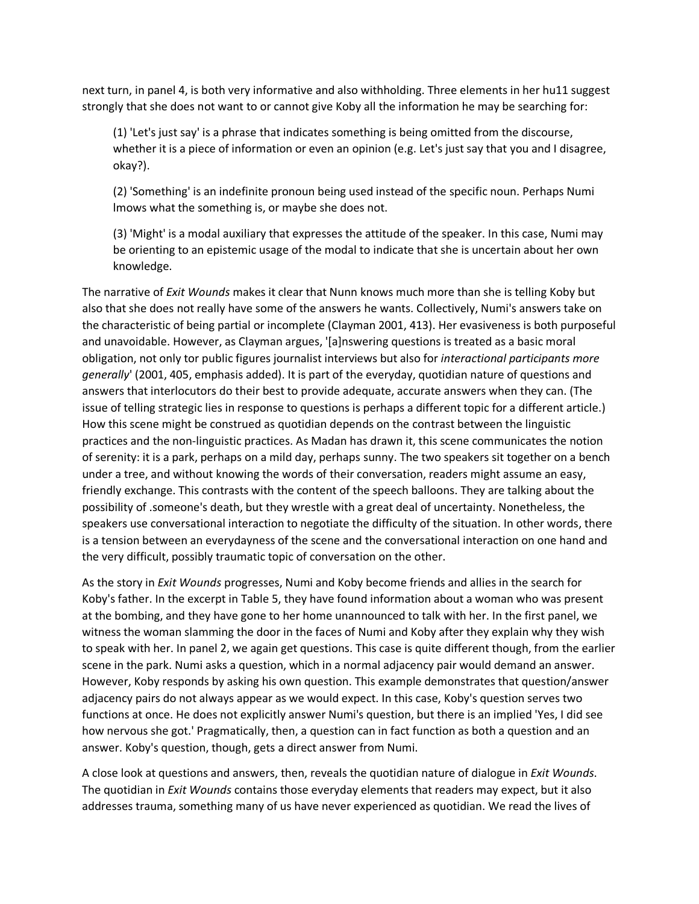next turn, in panel 4, is both very informative and also withholding. Three elements in her hu11 suggest strongly that she does not want to or cannot give Koby all the information he may be searching for:

(1) 'Let's just say' is a phrase that indicates something is being omitted from the discourse, whether it is a piece of information or even an opinion (e.g. Let's just say that you and I disagree, okay?).

(2) 'Something' is an indefinite pronoun being used instead of the specific noun. Perhaps Numi lmows what the something is, or maybe she does not.

(3) 'Might' is a modal auxiliary that expresses the attitude of the speaker. In this case, Numi may be orienting to an epistemic usage of the modal to indicate that she is uncertain about her own knowledge.

The narrative of *Exit Wounds* makes it clear that Nunn knows much more than she is telling Koby but also that she does not really have some of the answers he wants. Collectively, Numi's answers take on the characteristic of being partial or incomplete (Clayman 2001, 413). Her evasiveness is both purposeful and unavoidable. However, as Clayman argues, '[a]nswering questions is treated as a basic moral obligation, not only tor public figures journalist interviews but also for *interactional participants more generally*' (2001, 405, emphasis added). It is part of the everyday, quotidian nature of questions and answers that interlocutors do their best to provide adequate, accurate answers when they can. (The issue of telling strategic lies in response to questions is perhaps a different topic for a different article.) How this scene might be construed as quotidian depends on the contrast between the linguistic practices and the non-linguistic practices. As Madan has drawn it, this scene communicates the notion of serenity: it is a park, perhaps on a mild day, perhaps sunny. The two speakers sit together on a bench under a tree, and without knowing the words of their conversation, readers might assume an easy, friendly exchange. This contrasts with the content of the speech balloons. They are talking about the possibility of .someone's death, but they wrestle with a great deal of uncertainty. Nonetheless, the speakers use conversational interaction to negotiate the difficulty of the situation. In other words, there is a tension between an everydayness of the scene and the conversational interaction on one hand and the very difficult, possibly traumatic topic of conversation on the other.

As the story in *Exit Wounds* progresses, Numi and Koby become friends and allies in the search for Koby's father. In the excerpt in Table 5, they have found information about a woman who was present at the bombing, and they have gone to her home unannounced to talk with her. In the first panel, we witness the woman slamming the door in the faces of Numi and Koby after they explain why they wish to speak with her. In panel 2, we again get questions. This case is quite different though, from the earlier scene in the park. Numi asks a question, which in a normal adjacency pair would demand an answer. However, Koby responds by asking his own question. This example demonstrates that question/answer adjacency pairs do not always appear as we would expect. In this case, Koby's question serves two functions at once. He does not explicitly answer Numi's question, but there is an implied 'Yes, I did see how nervous she got.' Pragmatically, then, a question can in fact function as both a question and an answer. Koby's question, though, gets a direct answer from Numi.

A close look at questions and answers, then, reveals the quotidian nature of dialogue in *Exit Wounds*. The quotidian in *Exit Wounds* contains those everyday elements that readers may expect, but it also addresses trauma, something many of us have never experienced as quotidian. We read the lives of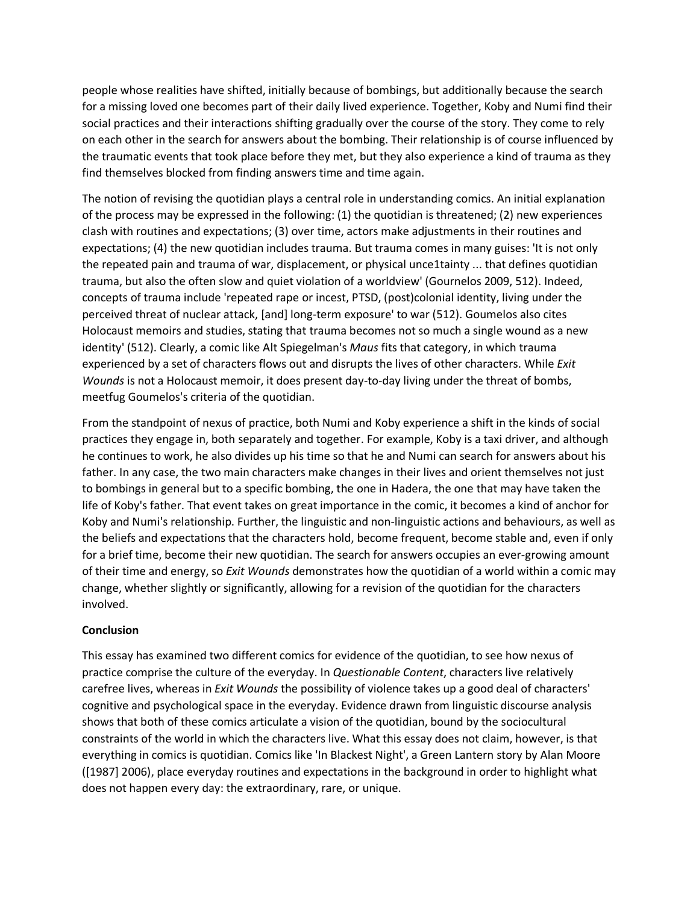people whose realities have shifted, initially because of bombings, but additionally because the search for a missing loved one becomes part of their daily lived experience. Together, Koby and Numi find their social practices and their interactions shifting gradually over the course of the story. They come to rely on each other in the search for answers about the bombing. Their relationship is of course influenced by the traumatic events that took place before they met, but they also experience a kind of trauma as they find themselves blocked from finding answers time and time again.

The notion of revising the quotidian plays a central role in understanding comics. An initial explanation of the process may be expressed in the following: (1) the quotidian is threatened; (2) new experiences clash with routines and expectations; (3) over time, actors make adjustments in their routines and expectations; (4) the new quotidian includes trauma. But trauma comes in many guises: 'It is not only the repeated pain and trauma of war, displacement, or physical unce1tainty ... that defines quotidian trauma, but also the often slow and quiet violation of a worldview' (Gournelos 2009, 512). Indeed, concepts of trauma include 'repeated rape or incest, PTSD, (post)colonial identity, living under the perceived threat of nuclear attack, [and] long-term exposure' to war (512). Goumelos also cites Holocaust memoirs and studies, stating that trauma becomes not so much a single wound as a new identity' (512). Clearly, a comic like Alt Spiegelman's *Maus* fits that category, in which trauma experienced by a set of characters flows out and disrupts the lives of other characters. While *Exit Wounds* is not a Holocaust memoir, it does present day-to-day living under the threat of bombs, meetfug Goumelos's criteria of the quotidian.

From the standpoint of nexus of practice, both Numi and Koby experience a shift in the kinds of social practices they engage in, both separately and together. For example, Koby is a taxi driver, and although he continues to work, he also divides up his time so that he and Numi can search for answers about his father. In any case, the two main characters make changes in their lives and orient themselves not just to bombings in general but to a specific bombing, the one in Hadera, the one that may have taken the life of Koby's father. That event takes on great importance in the comic, it becomes a kind of anchor for Koby and Numi's relationship. Further, the linguistic and non-linguistic actions and behaviours, as well as the beliefs and expectations that the characters hold, become frequent, become stable and, even if only for a brief time, become their new quotidian. The search for answers occupies an ever-growing amount of their time and energy, so *Exit Wounds* demonstrates how the quotidian of a world within a comic may change, whether slightly or significantly, allowing for a revision of the quotidian for the characters involved.

# **Conclusion**

This essay has examined two different comics for evidence of the quotidian, to see how nexus of practice comprise the culture of the everyday. In *Questionable Content*, characters live relatively carefree lives, whereas in *Exit Wounds* the possibility of violence takes up a good deal of characters' cognitive and psychological space in the everyday. Evidence drawn from linguistic discourse analysis shows that both of these comics articulate a vision of the quotidian, bound by the sociocultural constraints of the world in which the characters live. What this essay does not claim, however, is that everything in comics is quotidian. Comics like 'In Blackest Night', a Green Lantern story by Alan Moore ([1987] 2006), place everyday routines and expectations in the background in order to highlight what does not happen every day: the extraordinary, rare, or unique.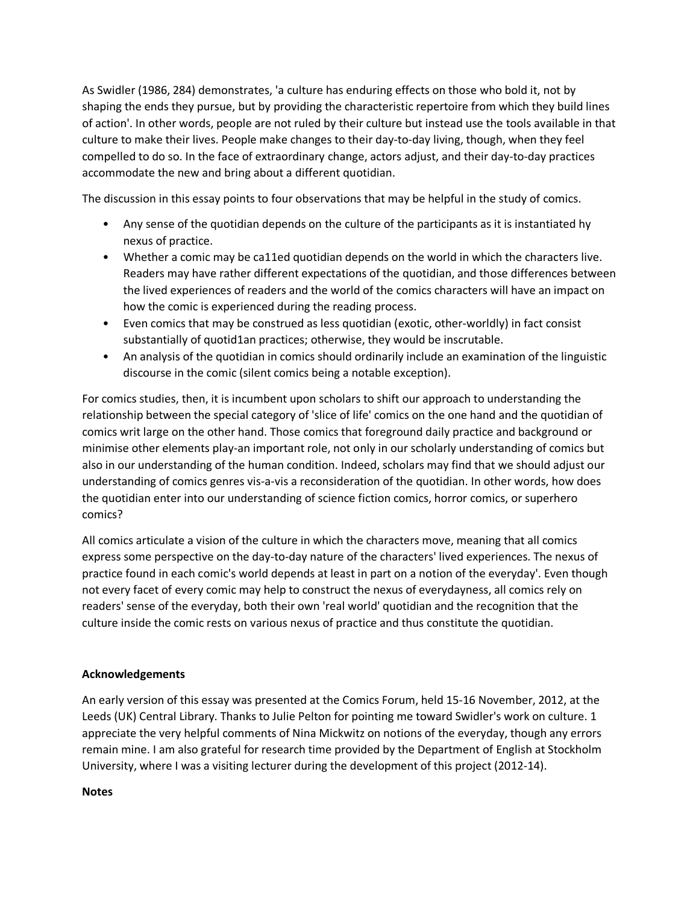As Swidler (1986, 284) demonstrates, 'a culture has enduring effects on those who bold it, not by shaping the ends they pursue, but by providing the characteristic repertoire from which they build lines of action'. In other words, people are not ruled by their culture but instead use the tools available in that culture to make their lives. People make changes to their day-to-day living, though, when they feel compelled to do so. In the face of extraordinary change, actors adjust, and their day-to-day practices accommodate the new and bring about a different quotidian.

The discussion in this essay points to four observations that may be helpful in the study of comics.

- Any sense of the quotidian depends on the culture of the participants as it is instantiated hy nexus of practice.
- Whether a comic may be ca11ed quotidian depends on the world in which the characters live. Readers may have rather different expectations of the quotidian, and those differences between the lived experiences of readers and the world of the comics characters will have an impact on how the comic is experienced during the reading process.
- Even comics that may be construed as less quotidian (exotic, other-worldly) in fact consist substantially of quotid1an practices; otherwise, they would be inscrutable.
- An analysis of the quotidian in comics should ordinarily include an examination of the linguistic discourse in the comic (silent comics being a notable exception).

For comics studies, then, it is incumbent upon scholars to shift our approach to understanding the relationship between the special category of 'slice of life' comics on the one hand and the quotidian of comics writ large on the other hand. Those comics that foreground daily practice and background or minimise other elements play-an important role, not only in our scholarly understanding of comics but also in our understanding of the human condition. Indeed, scholars may find that we should adjust our understanding of comics genres vis-a-vis a reconsideration of the quotidian. In other words, how does the quotidian enter into our understanding of science fiction comics, horror comics, or superhero comics?

All comics articulate a vision of the culture in which the characters move, meaning that all comics express some perspective on the day-to-day nature of the characters' lived experiences. The nexus of practice found in each comic's world depends at least in part on a notion of the everyday'. Even though not every facet of every comic may help to construct the nexus of everydayness, all comics rely on readers' sense of the everyday, both their own 'real world' quotidian and the recognition that the culture inside the comic rests on various nexus of practice and thus constitute the quotidian.

# **Acknowledgements**

An early version of this essay was presented at the Comics Forum, held 15-16 November, 2012, at the Leeds (UK) Central Library. Thanks to Julie Pelton for pointing me toward Swidler's work on culture. 1 appreciate the very helpful comments of Nina Mickwitz on notions of the everyday, though any errors remain mine. I am also grateful for research time provided by the Department of English at Stockholm University, where I was a visiting lecturer during the development of this project (2012-14).

# **Notes**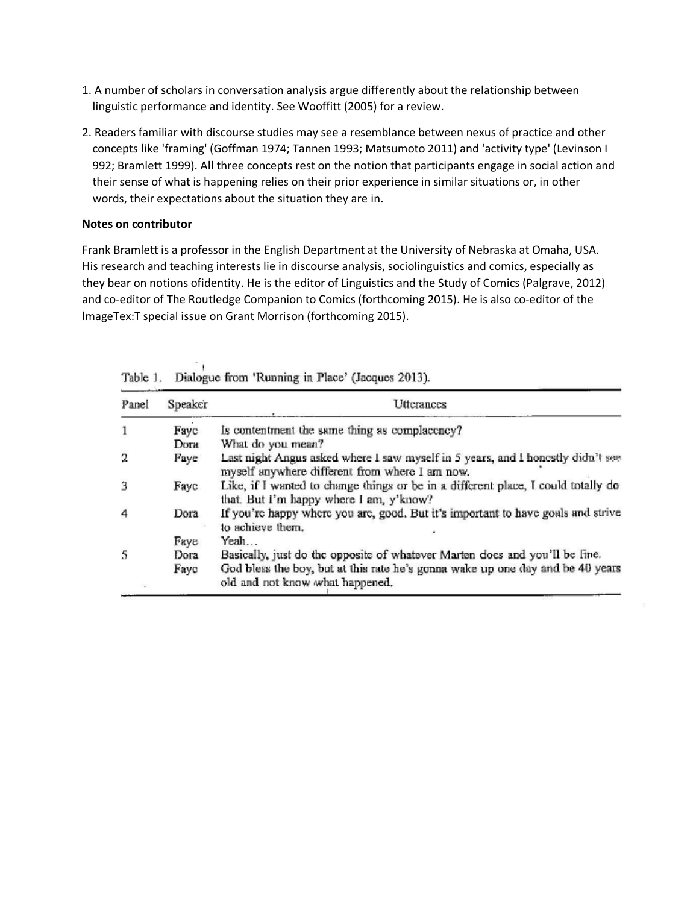- 1. A number of scholars in conversation analysis argue differently about the relationship between linguistic performance and identity. See Wooffitt (2005) for a review.
- 2. Readers familiar with discourse studies may see a resemblance between nexus of practice and other concepts like 'framing' (Goffman 1974; Tannen 1993; Matsumoto 2011) and 'activity type' (Levinson I 992; Bramlett 1999). All three concepts rest on the notion that participants engage in social action and their sense of what is happening relies on their prior experience in similar situations or, in other words, their expectations about the situation they are in.

### **Notes on contributor**

Frank Bramlett is a professor in the English Department at the University of Nebraska at Omaha, USA. His research and teaching interests lie in discourse analysis, sociolinguistics and comics, especially as they bear on notions ofidentity. He is the editor of Linguistics and the Study of Comics (Palgrave, 2012) and co-editor of The Routledge Companion to Comics (forthcoming 2015). He is also co-editor of the lmageTex:T special issue on Grant Morrison (forthcoming 2015).

| Panel          | Speaker | Utterances                                                                                                                        |
|----------------|---------|-----------------------------------------------------------------------------------------------------------------------------------|
| 1              | Faye    | Is contentment the same thing as complacency?                                                                                     |
|                | Dora    | What do you mean?                                                                                                                 |
| $\overline{a}$ | Faye    | Last night Angus asked where I saw myself in 5 years, and I honestly didn't see<br>myself anywhere different from where I am now. |
| 3              | Fayc    | Like, if I wanted to change things or be in a different place, I could totally do<br>that. But I'm happy where I am, y'know?      |
| 4              | Dora    | If you're happy where you are, good. But it's important to have goals and strive<br>to achieve them,                              |
|                | Faye    | Yeah                                                                                                                              |
| 5              | Dora    | Basically, just do the opposite of whatever Marten does and you'll be fine.                                                       |
|                | Fayc    | God bless the boy, but at this rate he's gonna wake up one day and be 40 years<br>old and not know what happened.                 |

| Table 1. | Dialogue from 'Running in Place' (Jacques 2013). |  |  |  |
|----------|--------------------------------------------------|--|--|--|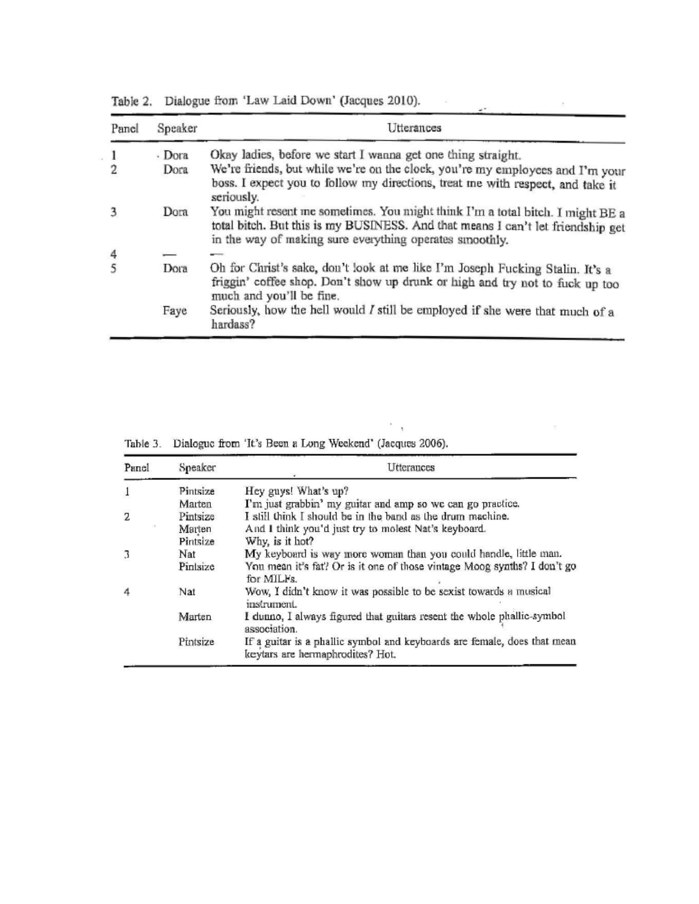| Panel          | Speaker | Utterances                                                                                                                                                                                                                   |
|----------------|---------|------------------------------------------------------------------------------------------------------------------------------------------------------------------------------------------------------------------------------|
| $\cdot$ 1      | · Dora  | Okay ladies, before we start I wanna get one thing straight.                                                                                                                                                                 |
| $\overline{c}$ | Dora    | We're friends, but while we're on the clock, you're my employees and I'm your<br>boss. I expect you to follow my directions, treat me with respect, and take it<br>seriously.                                                |
| 3              | Dora    | You might resent me sometimes. You might think I'm a total bitch. I might BE a<br>total bitch. But this is my BUSINESS. And that means I can't let friendship get<br>in the way of making sure everything operates smoothly. |
|                |         |                                                                                                                                                                                                                              |
| $\frac{4}{5}$  | Dora    | Oh for Christ's sake, don't look at me like I'm Joseph Fucking Stalin. It's a<br>friggin' coffee shop. Don't show up drunk or high and try not to fuck up too<br>much and you'll be fine.                                    |
|                | Faye    | Seriously, how the hell would I still be employed if she were that much of a<br>hardass?                                                                                                                                     |

 $\alpha$ 

Table 2. Dialogue from 'Law Laid Down' (Jacques 2010).

| Table 3. Dialogue from 'It's Been a Long Weekend' (Jacques 2006). |  |  |  |
|-------------------------------------------------------------------|--|--|--|

| Panel | Speaker  | Utterances                                                                                                   |
|-------|----------|--------------------------------------------------------------------------------------------------------------|
|       | Pintsize | Hey guys! What's up?                                                                                         |
|       | Marten   | I'm just grabbin' my guitar and amp so we can go practice.                                                   |
| 2     | Pintsize | I still think I should be in the band as the drum machine.                                                   |
|       | Marten   | And I think you'd just try to molest Nat's keyboard.                                                         |
|       | Pintsize | Why, is it hot?                                                                                              |
| 3     | Nat      | My keyboard is way more woman than you could handle, little man.                                             |
|       | Pintsize | You mean it's fat? Or is it one of those vintage Moog synths? I don't go<br>for MILFs.                       |
|       | Nat      | Wow, I didn't know it was possible to be sexist towards a musical<br>instrument.                             |
|       | Marten   | I dunno, I always figured that guitars resent the whole phallic-symbol<br>association.                       |
|       | Pintsize | If a guitar is a phallic symbol and keyboards are female, does that mean<br>keytars are hermaphrodites? Hot. |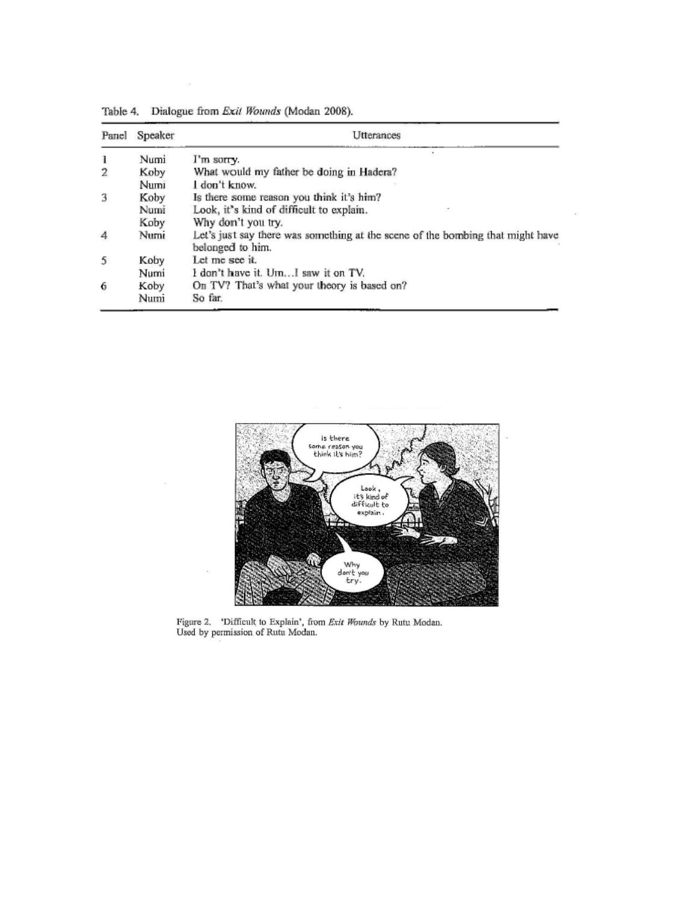| Panel | Speaker | Utterances                                                                                         |  |  |  |
|-------|---------|----------------------------------------------------------------------------------------------------|--|--|--|
| 1     | Numi    | I'm sorry.                                                                                         |  |  |  |
| 2     | Koby    | What would my father be doing in Hadera?                                                           |  |  |  |
|       | Numi    | I don't know.                                                                                      |  |  |  |
| 3     | Koby    | Is there some reason you think it's him?                                                           |  |  |  |
|       | Numi    | Look, it's kind of difficult to explain.<br>٠                                                      |  |  |  |
|       | Koby    | Why don't you try.                                                                                 |  |  |  |
| 4     | Numi    | Let's just say there was something at the scene of the bombing that might have<br>belonged to him. |  |  |  |
| 5     | Koby    | Let me see it.                                                                                     |  |  |  |
|       | Numi    | I don't have it. UmI saw it on TV.                                                                 |  |  |  |
| 6     | Koby    | On TV? That's what your theory is based on?                                                        |  |  |  |
|       | Numi    | So far.                                                                                            |  |  |  |

Table 4. Dialogue from Exit Wounds (Modan 2008).

 $\sim$ 



Figure 2. 'Difficult to Explain', from Exit Wounds by Rutu Modan. Used by permission of Rutu Modan.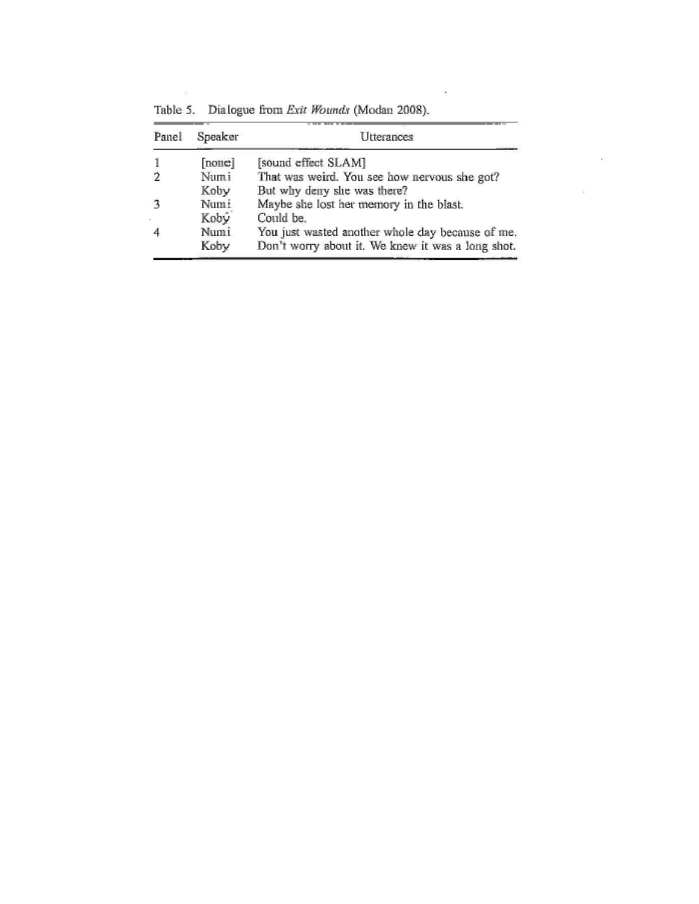| Panel         | Speaker      | Utterances                                                                                            |  |  |
|---------------|--------------|-------------------------------------------------------------------------------------------------------|--|--|
|               | [none]       | [sound effect SLAM]                                                                                   |  |  |
| $\mathcal{D}$ | Numi<br>Koby | That was weird. You see how nervous she got?<br>But why deny she was there?                           |  |  |
|               | Numi<br>Koby | Maybe she lost her memory in the blast.<br>Could be.                                                  |  |  |
|               | Numi<br>Koby | You just wasted another whole day because of me.<br>Don't worry about it. We knew it was a long shot. |  |  |

 $\lambda$ 

 $\mathcal{L}^{\pm}$ 

 $\mathcal{R}^{\prime}$ 

Table 5. Dialogue from Exit Wounds (Modan 2008).

 $\sim$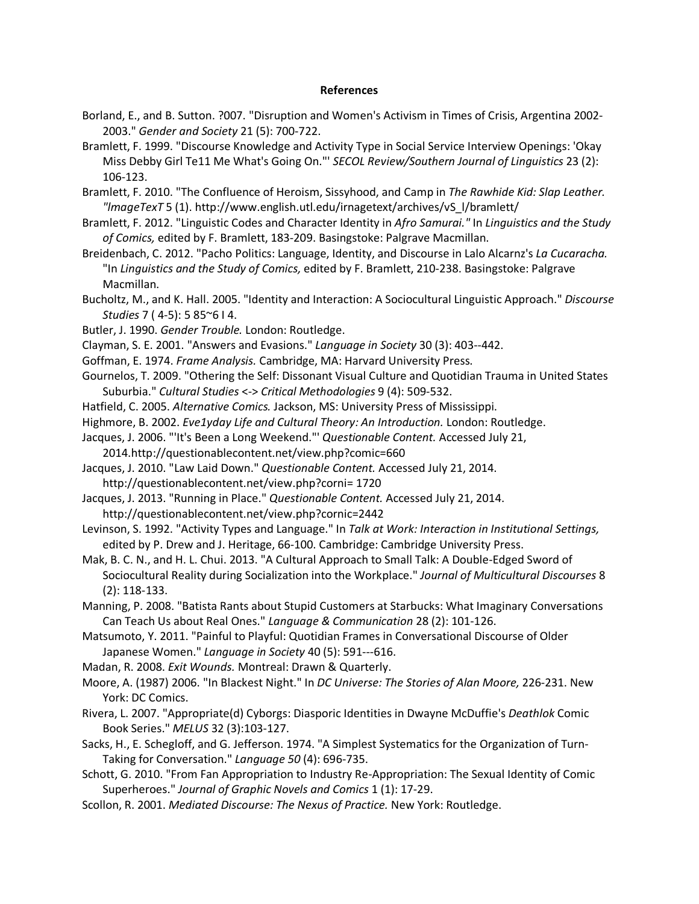#### **References**

- Borland, E., and B. Sutton. ?007. "Disruption and Women's Activism in Times of Crisis, Argentina 2002- 2003." *Gender and Society* 21 (5): 700-722.
- Bramlett, F. 1999. "Discourse Knowledge and Activity Type in Social Service Interview Openings: 'Okay Miss Debby Girl Te11 Me What's Going On."' *SECOL Review/Southern Journal of Linguistics* 23 (2): 106-123.
- Bramlett, F. 2010. "The Confluence of Heroism, Sissyhood, and Camp in *The Rawhide Kid: Slap Leather. "lmageTexT* 5 (1). http://www.english.utl.edu/irnagetext/archives/vS\_l/bramlett/
- Bramlett, F. 2012. "Linguistic Codes and Character Identity in *Afro Samurai."* In *Linguistics and the Study of Comics,* edited by F. Bramlett, 183-209. Basingstoke: Palgrave Macmillan.
- Breidenbach, C. 2012. "Pacho Politics: Language, Identity, and Discourse in Lalo Alcarnz's *La Cucaracha.*  "In *Linguistics and the Study of Comics,* edited by F. Bramlett, 210-238. Basingstoke: Palgrave Macmillan.
- Bucholtz, M., and K. Hall. 2005. "Identity and Interaction: A Sociocultural Linguistic Approach." *Discourse Studies* 7 ( 4-5): 5 85~6 I 4.
- Butler, J. 1990. *Gender Trouble.* London: Routledge.
- Clayman, S. E. 2001. "Answers and Evasions." *Language in Society* 30 (3): 403--442.
- Goffman, E. 1974. *Frame Analysis.* Cambridge, MA: Harvard University Press.
- Gournelos, T. 2009. "Othering the Self: Dissonant Visual Culture and Quotidian Trauma in United States Suburbia." *Cultural Studies* <-> *Critical Methodologies* 9 (4): 509-532.
- Hatfield, C. 2005. *Alternative Comics.* Jackson, MS: University Press of Mississippi.
- Highmore, B. 2002. *Eve1yday Life and Cultural Theory: An Introduction.* London: Routledge.
- Jacques, J. 2006. "'It's Been a Long Weekend."' *Questionable Content.* Accessed July 21,
- 2014.http://questionablecontent.net/view.php?comic=660
- Jacques, J. 2010. "Law Laid Down." *Questionable Content.* Accessed July 21, 2014. http://questionablecontent.net/view.php?corni= 1720
- Jacques, J. 2013. "Running in Place." *Questionable Content.* Accessed July 21, 2014. http://questionablecontent.net/view.php?cornic=2442
- Levinson, S. 1992. "Activity Types and Language." In *Talk at Work: Interaction in Institutional Settings,*  edited by P. Drew and J. Heritage, 66-100. Cambridge: Cambridge University Press.
- Mak, B. C. N., and H. L. Chui. 2013. "A Cultural Approach to Small Talk: A Double-Edged Sword of Sociocultural Reality during Socialization into the Workplace." *Journal of Multicultural Discourses* 8 (2): 118-133.
- Manning, P. 2008. "Batista Rants about Stupid Customers at Starbucks: What Imaginary Conversations Can Teach Us about Real Ones." *Language & Communication* 28 (2): 101-126.
- Matsumoto, Y. 2011. "Painful to Playful: Quotidian Frames in Conversational Discourse of Older Japanese Women." *Language in Society* 40 (5): 591---616.
- Madan, R. 2008. *Exit Wounds.* Montreal: Drawn & Quarterly.
- Moore, A. (1987) 2006. "In Blackest Night." In *DC Universe: The Stories of Alan Moore,* 226-231. New York: DC Comics.
- Rivera, L. 2007. "Appropriate(d) Cyborgs: Diasporic Identities in Dwayne McDuffie's *Deathlok* Comic Book Series." *MELUS* 32 (3):103-127.
- Sacks, H., E. Schegloff, and G. Jefferson. 1974. "A Simplest Systematics for the Organization of Turn-Taking for Conversation." *Language 50* (4): 696-735.
- Schott, G. 2010. "From Fan Appropriation to Industry Re-Appropriation: The Sexual Identity of Comic Superheroes." *Journal of Graphic Novels and Comics* 1 (1): 17-29.
- Scollon, R. 2001. *Mediated Discourse: The Nexus of Practice.* New York: Routledge.